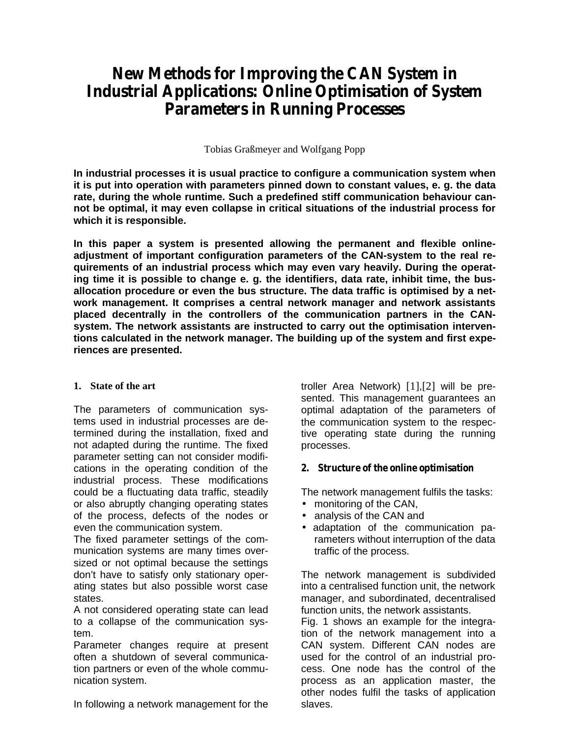# *New Methods for Improving the CAN System in Industrial Applications: Online Optimisation of System Parameters in Running Processes*

Tobias Graßmeyer and Wolfgang Popp

**In industrial processes it is usual practice to configure a communication system when it is put into operation with parameters pinned down to constant values, e. g. the data rate, during the whole runtime. Such a predefined stiff communication behaviour cannot be optimal, it may even collapse in critical situations of the industrial process for which it is responsible.**

**In this paper a system is presented allowing the permanent and flexible onlineadjustment of important configuration parameters of the CAN-system to the real requirements of an industrial process which may even vary heavily. During the operating time it is possible to change e. g. the identifiers, data rate, inhibit time, the busallocation procedure or even the bus structure. The data traffic is optimised by a network management. It comprises a central network manager and network assistants placed decentrally in the controllers of the communication partners in the CANsystem. The network assistants are instructed to carry out the optimisation interventions calculated in the network manager. The building up of the system and first experiences are presented.**

## **1. State of the art**

The parameters of communication systems used in industrial processes are determined during the installation, fixed and not adapted during the runtime. The fixed parameter setting can not consider modifications in the operating condition of the industrial process. These modifications could be a fluctuating data traffic, steadily or also abruptly changing operating states of the process, defects of the nodes or even the communication system.

The fixed parameter settings of the communication systems are many times oversized or not optimal because the settings don't have to satisfy only stationary operating states but also possible worst case states.

A not considered operating state can lead to a collapse of the communication system.

Parameter changes require at present often a shutdown of several communication partners or even of the whole communication system.

In following a network management for the

troller Area Network) [1],[2] will be presented. This management guarantees an optimal adaptation of the parameters of the communication system to the respective operating state during the running processes.

## *2. Structure of the online optimisation*

The network management fulfils the tasks:

- monitoring of the CAN.
- analysis of the CAN and
- adaptation of the communication parameters without interruption of the data traffic of the process.

The network management is subdivided into a centralised function unit, the network manager, and subordinated, decentralised function units, the network assistants.

Fig. 1 shows an example for the integration of the network management into a CAN system. Different CAN nodes are used for the control of an industrial process. One node has the control of the process as an application master, the other nodes fulfil the tasks of application slaves.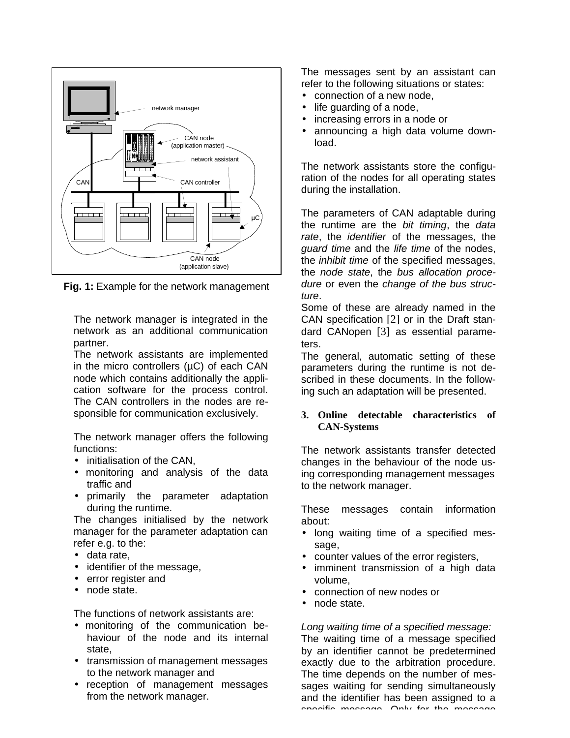

**Fig. 1:** Example for the network management

The network manager is integrated in the network as an additional communication partner.

The network assistants are implemented in the micro controllers (µC) of each CAN node which contains additionally the application software for the process control. The CAN controllers in the nodes are responsible for communication exclusively.

The network manager offers the following functions:

- initialisation of the CAN.
- monitoring and analysis of the data traffic and
- primarily the parameter adaptation during the runtime.

The changes initialised by the network manager for the parameter adaptation can refer e.g. to the:

- data rate,
- identifier of the message,
- error register and
- node state.

The functions of network assistants are:

- monitoring of the communication behaviour of the node and its internal state,
- transmission of management messages to the network manager and
- reception of management messages from the network manager.

The messages sent by an assistant can refer to the following situations or states:

- connection of a new node,
- life guarding of a node,
- increasing errors in a node or
- announcing a high data volume download.

The network assistants store the configuration of the nodes for all operating states during the installation.

The parameters of CAN adaptable during the runtime are the *bit timing*, the *data rate*, the *identifier* of the messages, the *guard time* and the *life time* of the nodes, the *inhibit time* of the specified messages, the *node state*, the *bus allocation procedure* or even the *change of the bus structure*.

Some of these are already named in the CAN specification [2] or in the Draft standard CANopen [3] as essential parameters.

The general, automatic setting of these parameters during the runtime is not described in these documents. In the following such an adaptation will be presented.

#### **3. Online detectable characteristics of CAN-Systems**

The network assistants transfer detected changes in the behaviour of the node using corresponding management messages to the network manager.

These messages contain information about:

- long waiting time of a specified message.
- counter values of the error registers,
- imminent transmission of a high data volume,
- connection of new nodes or
- node state.

*Long waiting time of a specified message:*

The waiting time of a message specified by an identifier cannot be predetermined exactly due to the arbitration procedure. The time depends on the number of messages waiting for sending simultaneously and the identifier has been assigned to a specific message. Only for the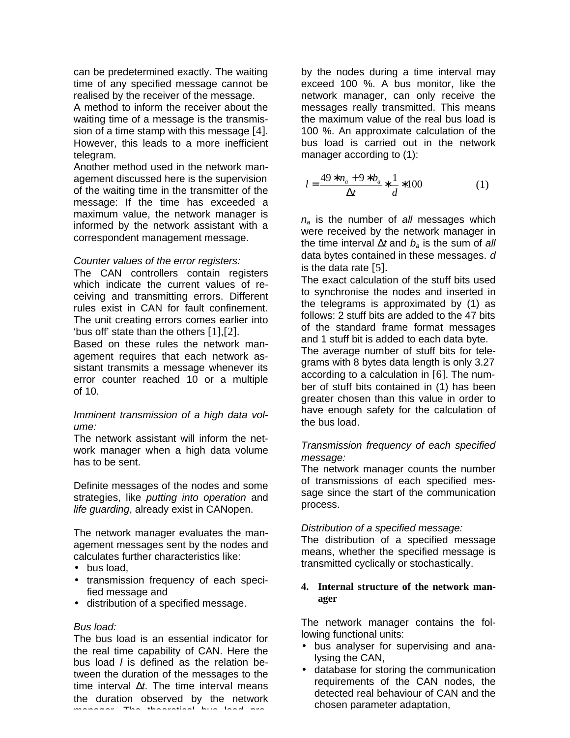can be predetermined exactly. The waiting time of any specified message cannot be realised by the receiver of the message.

A method to inform the receiver about the waiting time of a message is the transmission of a time stamp with this message [4]. However, this leads to a more inefficient telegram.

Another method used in the network management discussed here is the supervision of the waiting time in the transmitter of the message: If the time has exceeded a maximum value, the network manager is informed by the network assistant with a correspondent management message.

## *Counter values of the error registers:*

The CAN controllers contain registers which indicate the current values of receiving and transmitting errors. Different rules exist in CAN for fault confinement. The unit creating errors comes earlier into 'bus off' state than the others [1],[2].

Based on these rules the network management requires that each network assistant transmits a message whenever its error counter reached 10 or a multiple of 10.

## *Imminent transmission of a high data volume:*

The network assistant will inform the network manager when a high data volume has to be sent.

Definite messages of the nodes and some strategies, like *putting into operation* and *life guarding*, already exist in CANopen.

The network manager evaluates the management messages sent by the nodes and calculates further characteristics like:

- bus load.
- transmission frequency of each specified message and
- distribution of a specified message.

## *Bus load:*

The bus load is an essential indicator for the real time capability of CAN. Here the bus load *l* is defined as the relation between the duration of the messages to the time interval *t*. The time interval means the duration observed by the network manager. The theoretical bus load pro-

by the nodes during a time interval may exceed 100 %. A bus monitor, like the network manager, can only receive the messages really transmitted. This means the maximum value of the real bus load is 100 %. An approximate calculation of the bus load is carried out in the network manager according to (1):

$$
l = \frac{49 \quad n_a + 9 \quad b_a}{t} \quad \frac{1}{d} \quad 100 \tag{1}
$$

*na* is the number of *all* messages which were received by the network manager in the time interval *t* and *ba* is the sum of *all* data bytes contained in these messages. *d* is the data rate [5].

The exact calculation of the stuff bits used to synchronise the nodes and inserted in the telegrams is approximated by (1) as follows: 2 stuff bits are added to the 47 bits of the standard frame format messages and 1 stuff bit is added to each data byte. The average number of stuff bits for telegrams with 8 bytes data length is only 3.27 according to a calculation in [6]. The number of stuff bits contained in (1) has been greater chosen than this value in order to have enough safety for the calculation of the bus load.

## *Transmission frequency of each specified message:*

The network manager counts the number of transmissions of each specified message since the start of the communication process.

## *Distribution of a specified message:*

The distribution of a specified message means, whether the specified message is transmitted cyclically or stochastically.

# **4. Internal structure of the network manager**

The network manager contains the following functional units:

- bus analyser for supervising and analysing the CAN,
- database for storing the communication requirements of the CAN nodes, the detected real behaviour of CAN and the chosen parameter adaptation,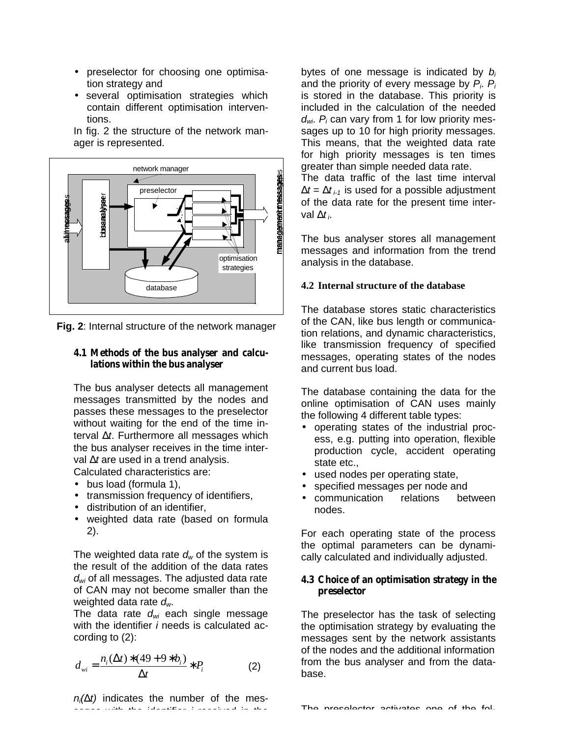- preselector for choosing one optimisation strategy and
- several optimisation strategies which contain different optimisation interventions.

In fig. 2 the structure of the network manager is represented.



**Fig. 2**: Internal structure of the network manager

#### *4.1 Methods of the bus analyser and calculations within the bus analyser*

The bus analyser detects all management messages transmitted by the nodes and passes these messages to the preselector without waiting for the end of the time interval *t*. Furthermore all messages which the bus analyser receives in the time interval *t* are used in a trend analysis.

Calculated characteristics are:

- bus load (formula 1),
- transmission frequency of identifiers,
- distribution of an identifier,
- weighted data rate (based on formula 2).

The weighted data rate *dw* of the system is the result of the addition of the data rates *dwi* of all messages. The adjusted data rate of CAN may not become smaller than the weighted data rate *dw*.

The data rate *dwi* each single message with the identifier *i* needs is calculated according to (2):

$$
d_{wi} = \frac{n_i(-t) - (49 + 9 - b_i)}{t} \quad P_i \tag{2}
$$

*ni( t)* indicates the number of the messages with the identifier *i* received in the

bytes of one message is indicated by *b<sup>i</sup>* and the priority of every message by *Pi*. *P<sup>i</sup>* is stored in the database. This priority is included in the calculation of the needed *dwi*. *Pi* can vary from 1 for low priority messages up to 10 for high priority messages. This means, that the weighted data rate for high priority messages is ten times greater than simple needed data rate.

The data traffic of the last time interval  $t = t_{i-1}$  is used for a possible adjustment of the data rate for the present time interval  $t_i$ 

The bus analyser stores all management messages and information from the trend analysis in the database.

#### **4.2 Internal structure of the database**

The database stores static characteristics of the CAN, like bus length or communication relations, and dynamic characteristics, like transmission frequency of specified messages, operating states of the nodes and current bus load.

The database containing the data for the online optimisation of CAN uses mainly the following 4 different table types:

- operating states of the industrial process, e.g. putting into operation, flexible production cycle, accident operating state etc.,
- used nodes per operating state,
- specified messages per node and
- communication relations between nodes.

For each operating state of the process the optimal parameters can be dynamically calculated and individually adjusted.

#### *4.3 Choice of an optimisation strategy in the preselector*

The preselector has the task of selecting the optimisation strategy by evaluating the messages sent by the network assistants of the nodes and the additional information from the bus analyser and from the database.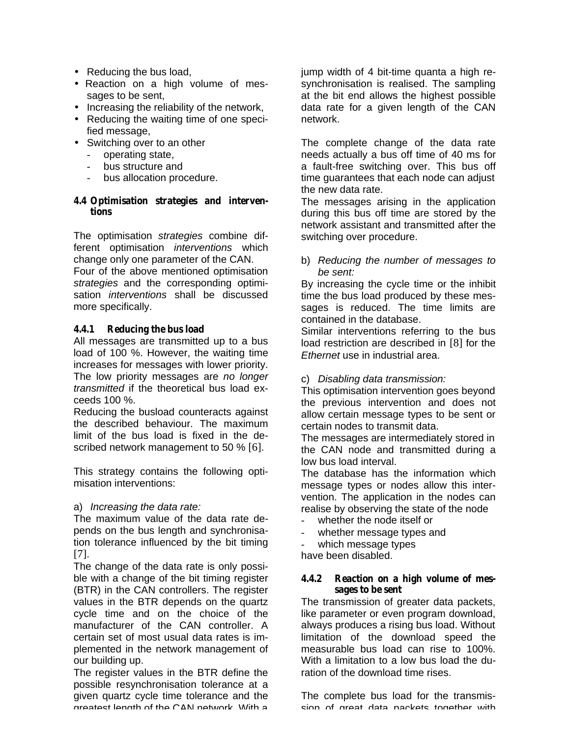- Reducing the bus load,
- Reaction on a high volume of messages to be sent,
- Increasing the reliability of the network,
- Reducing the waiting time of one specified message,
- Switching over to an other
	- operating state,
	- bus structure and
	- bus allocation procedure.

#### *4.4 Optimisation strategies and interventions*

The optimisation *strategies* combine different optimisation *interventions* which change only one parameter of the CAN. Four of the above mentioned optimisation *strategies* and the corresponding optimisation *interventions* shall be discussed more specifically.

# *4.4.1 Reducing the bus load*

All messages are transmitted up to a bus load of 100 %. However, the waiting time increases for messages with lower priority. The low priority messages are *no longer transmitted* if the theoretical bus load exceeds 100 %.

Reducing the busload counteracts against the described behaviour. The maximum limit of the bus load is fixed in the described network management to 50 % [6].

This strategy contains the following optimisation interventions:

## a) *Increasing the data rate:*

The maximum value of the data rate depends on the bus length and synchronisation tolerance influenced by the bit timing [7].

The change of the data rate is only possible with a change of the bit timing register (BTR) in the CAN controllers. The register values in the BTR depends on the quartz cycle time and on the choice of the manufacturer of the CAN controller. A certain set of most usual data rates is implemented in the network management of our building up.

The register values in the BTR define the possible resynchronisation tolerance at a given quartz cycle time tolerance and the greatest length of the CAN network. With a

jump width of 4 bit-time quanta a high resynchronisation is realised. The sampling at the bit end allows the highest possible data rate for a given length of the CAN network.

The complete change of the data rate needs actually a bus off time of 40 ms for a fault-free switching over. This bus off time guarantees that each node can adjust the new data rate.

The messages arising in the application during this bus off time are stored by the network assistant and transmitted after the switching over procedure.

b) *Reducing the number of messages to be sent:*

By increasing the cycle time or the inhibit time the bus load produced by these messages is reduced. The time limits are contained in the database.

Similar interventions referring to the bus load restriction are described in [8] for the *Ethernet* use in industrial area.

c) *Disabling data transmission:*

This optimisation intervention goes beyond the previous intervention and does not allow certain message types to be sent or certain nodes to transmit data.

The messages are intermediately stored in the CAN node and transmitted during a low bus load interval.

The database has the information which message types or nodes allow this intervention. The application in the nodes can realise by observing the state of the node

- whether the node itself or
- whether message types and
- which message types

have been disabled.

#### *4.4.2 Reaction on a high volume of messages to be sent*

The transmission of greater data packets, like parameter or even program download, always produces a rising bus load. Without limitation of the download speed the measurable bus load can rise to 100%. With a limitation to a low bus load the duration of the download time rises.

The complete bus load for the transmission of great data packets together with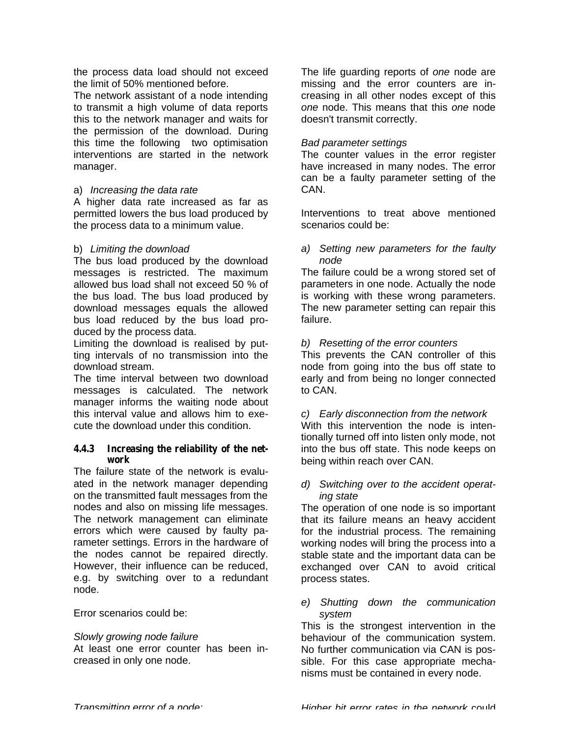the process data load should not exceed the limit of 50% mentioned before.

The network assistant of a node intending to transmit a high volume of data reports this to the network manager and waits for the permission of the download. During this time the following two optimisation interventions are started in the network manager.

# a) *Increasing the data rate*

A higher data rate increased as far as permitted lowers the bus load produced by the process data to a minimum value.

# b) *Limiting the download*

The bus load produced by the download messages is restricted. The maximum allowed bus load shall not exceed 50 % of the bus load. The bus load produced by download messages equals the allowed bus load reduced by the bus load produced by the process data.

Limiting the download is realised by putting intervals of no transmission into the download stream.

The time interval between two download messages is calculated. The network manager informs the waiting node about this interval value and allows him to execute the download under this condition.

## *4.4.3 Increasing the reliability of the network*

The failure state of the network is evaluated in the network manager depending on the transmitted fault messages from the nodes and also on missing life messages. The network management can eliminate errors which were caused by faulty parameter settings. Errors in the hardware of the nodes cannot be repaired directly. However, their influence can be reduced, e.g. by switching over to a redundant node.

Error scenarios could be:

## *Slowly growing node failure*

At least one error counter has been increased in only one node.

The life guarding reports of *one* node are missing and the error counters are increasing in all other nodes except of this *one* node. This means that this *one* node doesn't transmit correctly.

# *Bad parameter settings*

The counter values in the error register have increased in many nodes. The error can be a faulty parameter setting of the CAN.

Interventions to treat above mentioned scenarios could be:

# *a) Setting new parameters for the faulty node*

The failure could be a wrong stored set of parameters in one node. Actually the node is working with these wrong parameters. The new parameter setting can repair this failure.

# *b) Resetting of the error counters*

This prevents the CAN controller of this node from going into the bus off state to early and from being no longer connected to CAN.

*c) Early disconnection from the network* With this intervention the node is intentionally turned off into listen only mode, not into the bus off state. This node keeps on being within reach over CAN.

## *d) Switching over to the accident operating state*

The operation of one node is so important that its failure means an heavy accident for the industrial process. The remaining working nodes will bring the process into a stable state and the important data can be exchanged over CAN to avoid critical process states.

## *e) Shutting down the communication system*

This is the strongest intervention in the behaviour of the communication system. No further communication via CAN is possible. For this case appropriate mechanisms must be contained in every node.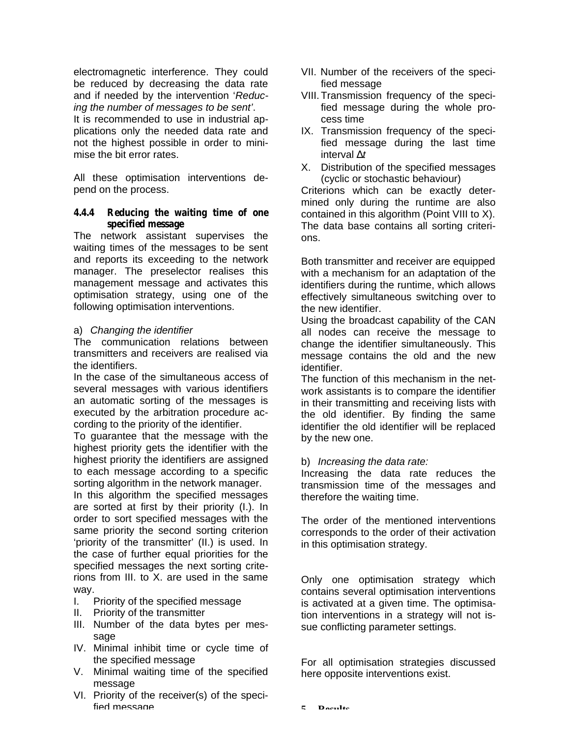electromagnetic interference. They could be reduced by decreasing the data rate and if needed by the intervention '*Reducing the number of messages to be sent'*.

It is recommended to use in industrial applications only the needed data rate and not the highest possible in order to minimise the bit error rates.

All these optimisation interventions depend on the process.

## *4.4.4 Reducing the waiting time of one specified message*

The network assistant supervises the waiting times of the messages to be sent and reports its exceeding to the network manager. The preselector realises this management message and activates this optimisation strategy, using one of the following optimisation interventions.

# a) *Changing the identifier*

The communication relations between transmitters and receivers are realised via the identifiers.

In the case of the simultaneous access of several messages with various identifiers an automatic sorting of the messages is executed by the arbitration procedure according to the priority of the identifier.

To guarantee that the message with the highest priority gets the identifier with the highest priority the identifiers are assigned to each message according to a specific sorting algorithm in the network manager.

In this algorithm the specified messages are sorted at first by their priority (I.). In order to sort specified messages with the same priority the second sorting criterion 'priority of the transmitter' (II.) is used. In the case of further equal priorities for the specified messages the next sorting criterions from III. to X. are used in the same way.

- I. Priority of the specified message
- II. Priority of the transmitter
- III. Number of the data bytes per message
- IV. Minimal inhibit time or cycle time of the specified message
- V. Minimal waiting time of the specified message
- VI. Priority of the receiver(s) of the specified message
- VII. Number of the receivers of the specified message
- VIII. Transmission frequency of the specified message during the whole process time
- IX. Transmission frequency of the specified message during the last time interval *t*
- X. Distribution of the specified messages (cyclic or stochastic behaviour)

Criterions which can be exactly determined only during the runtime are also contained in this algorithm (Point VIII to X). The data base contains all sorting criterions.

Both transmitter and receiver are equipped with a mechanism for an adaptation of the identifiers during the runtime, which allows effectively simultaneous switching over to the new identifier.

Using the broadcast capability of the CAN all nodes can receive the message to change the identifier simultaneously. This message contains the old and the new identifier.

The function of this mechanism in the network assistants is to compare the identifier in their transmitting and receiving lists with the old identifier. By finding the same identifier the old identifier will be replaced by the new one.

# b) *Increasing the data rate:*

Increasing the data rate reduces the transmission time of the messages and therefore the waiting time.

The order of the mentioned interventions corresponds to the order of their activation in this optimisation strategy.

Only one optimisation strategy which contains several optimisation interventions is activated at a given time. The optimisation interventions in a strategy will not issue conflicting parameter settings.

For all optimisation strategies discussed here opposite interventions exist.

**5. Results**